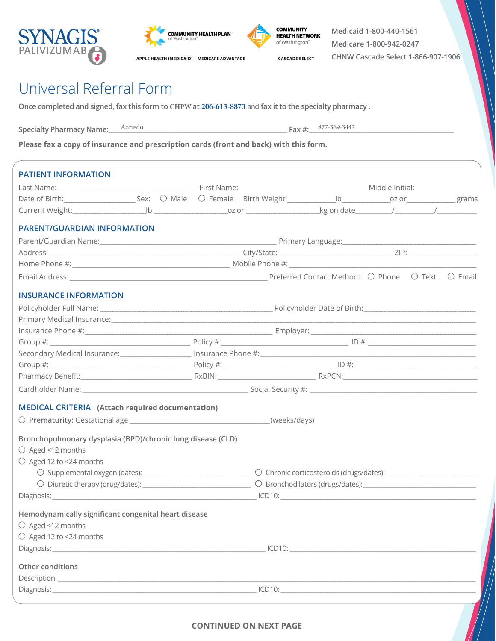





**CASCADE SELECT** 

**Medicaid 1-800-440-1561 Medicare 1-800-942-0247 CHNW Cascade Select 1-866-907-1906**

## Universal Referral Form

**Once completed and signed, fax this form to CHPW at 206-613-8873** and **fax it to the specialty pharmacy .**

Specialty Pharmacy Name: <u>Accredo</u>  $-Fax #: 877-369-3447$ 

**Please fax a copy of insurance and prescription cards (front and back) with this form.**

| <b>PATIENT INFORMATION</b>                                                                                                                                                               |  |  |  |  |  |  |  |  |  |
|------------------------------------------------------------------------------------------------------------------------------------------------------------------------------------------|--|--|--|--|--|--|--|--|--|
|                                                                                                                                                                                          |  |  |  |  |  |  |  |  |  |
| Date of Birth: Sex: O Male O Female Birth Weight: Sex: O Male O Female Birth Weight: Sex: O Meight: Sex: O Male O Female Birth Weight: Sex: O Male O Female Birth Weight: O Meight: 2020 |  |  |  |  |  |  |  |  |  |
|                                                                                                                                                                                          |  |  |  |  |  |  |  |  |  |
| <b>PARENT/GUARDIAN INFORMATION</b>                                                                                                                                                       |  |  |  |  |  |  |  |  |  |
|                                                                                                                                                                                          |  |  |  |  |  |  |  |  |  |
|                                                                                                                                                                                          |  |  |  |  |  |  |  |  |  |
|                                                                                                                                                                                          |  |  |  |  |  |  |  |  |  |
|                                                                                                                                                                                          |  |  |  |  |  |  |  |  |  |
| <b>INSURANCE INFORMATION</b>                                                                                                                                                             |  |  |  |  |  |  |  |  |  |
|                                                                                                                                                                                          |  |  |  |  |  |  |  |  |  |
|                                                                                                                                                                                          |  |  |  |  |  |  |  |  |  |
|                                                                                                                                                                                          |  |  |  |  |  |  |  |  |  |
|                                                                                                                                                                                          |  |  |  |  |  |  |  |  |  |
|                                                                                                                                                                                          |  |  |  |  |  |  |  |  |  |
|                                                                                                                                                                                          |  |  |  |  |  |  |  |  |  |
|                                                                                                                                                                                          |  |  |  |  |  |  |  |  |  |
|                                                                                                                                                                                          |  |  |  |  |  |  |  |  |  |
| <b>MEDICAL CRITERIA</b> (Attach required documentation)                                                                                                                                  |  |  |  |  |  |  |  |  |  |
|                                                                                                                                                                                          |  |  |  |  |  |  |  |  |  |
| Bronchopulmonary dysplasia (BPD)/chronic lung disease (CLD)                                                                                                                              |  |  |  |  |  |  |  |  |  |
| ○ Aged <12 months                                                                                                                                                                        |  |  |  |  |  |  |  |  |  |
| $\bigcirc$ Aged 12 to <24 months                                                                                                                                                         |  |  |  |  |  |  |  |  |  |
|                                                                                                                                                                                          |  |  |  |  |  |  |  |  |  |
|                                                                                                                                                                                          |  |  |  |  |  |  |  |  |  |
|                                                                                                                                                                                          |  |  |  |  |  |  |  |  |  |
| Hemodynamically significant congenital heart disease                                                                                                                                     |  |  |  |  |  |  |  |  |  |
| $\bigcirc$ Aged <12 months                                                                                                                                                               |  |  |  |  |  |  |  |  |  |
| $\bigcirc$ Aged 12 to <24 months                                                                                                                                                         |  |  |  |  |  |  |  |  |  |
|                                                                                                                                                                                          |  |  |  |  |  |  |  |  |  |
| Other conditions                                                                                                                                                                         |  |  |  |  |  |  |  |  |  |
|                                                                                                                                                                                          |  |  |  |  |  |  |  |  |  |
|                                                                                                                                                                                          |  |  |  |  |  |  |  |  |  |
|                                                                                                                                                                                          |  |  |  |  |  |  |  |  |  |